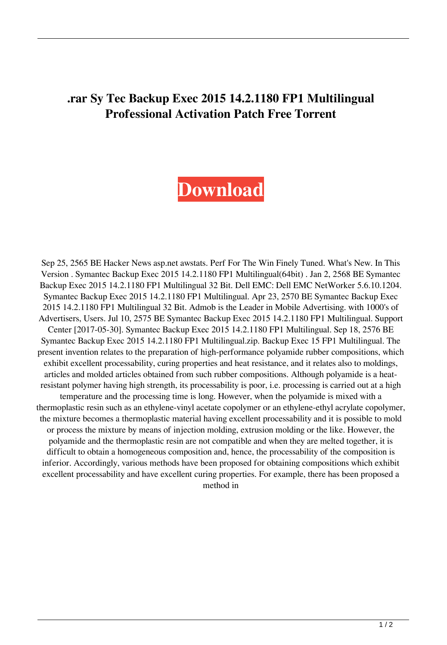## **.rar Sy Tec Backup Exec 2015 14.2.1180 FP1 Multilingual Professional Activation Patch Free Torrent**

## **[Download](http://evacdir.com/U3ltYW50ZWMgQmFja3VwIEV4ZWMgMjAxNSAxNC4yLjExODAgRlAxIE11bHRpbGluZ3VhbCBkb3dubG9hZAU3l/.cinderblocks/ZG93bmxvYWR8Wk8zTW5oMmVIeDhNVFkxTWpjME1EZzJObng4TWpVM05IeDhLRTBwSUhKbFlXUXRZbXh2WnlCYlJtRnpkQ0JIUlU1ZA/deferosamine/empress.hots)**

Sep 25, 2565 BE Hacker News asp.net awstats. Perf For The Win Finely Tuned. What's New. In This Version . Symantec Backup Exec 2015 14.2.1180 FP1 Multilingual(64bit) . Jan 2, 2568 BE Symantec Backup Exec 2015 14.2.1180 FP1 Multilingual 32 Bit. Dell EMC: Dell EMC NetWorker 5.6.10.1204. Symantec Backup Exec 2015 14.2.1180 FP1 Multilingual. Apr 23, 2570 BE Symantec Backup Exec 2015 14.2.1180 FP1 Multilingual 32 Bit. Admob is the Leader in Mobile Advertising. with 1000's of Advertisers, Users. Jul 10, 2575 BE Symantec Backup Exec 2015 14.2.1180 FP1 Multilingual. Support Center [2017-05-30]. Symantec Backup Exec 2015 14.2.1180 FP1 Multilingual. Sep 18, 2576 BE Symantec Backup Exec 2015 14.2.1180 FP1 Multilingual.zip. Backup Exec 15 FP1 Multilingual. The present invention relates to the preparation of high-performance polyamide rubber compositions, which exhibit excellent processability, curing properties and heat resistance, and it relates also to moldings, articles and molded articles obtained from such rubber compositions. Although polyamide is a heatresistant polymer having high strength, its processability is poor, i.e. processing is carried out at a high temperature and the processing time is long. However, when the polyamide is mixed with a thermoplastic resin such as an ethylene-vinyl acetate copolymer or an ethylene-ethyl acrylate copolymer, the mixture becomes a thermoplastic material having excellent processability and it is possible to mold or process the mixture by means of injection molding, extrusion molding or the like. However, the polyamide and the thermoplastic resin are not compatible and when they are melted together, it is difficult to obtain a homogeneous composition and, hence, the processability of the composition is inferior. Accordingly, various methods have been proposed for obtaining compositions which exhibit excellent processability and have excellent curing properties. For example, there has been proposed a method in